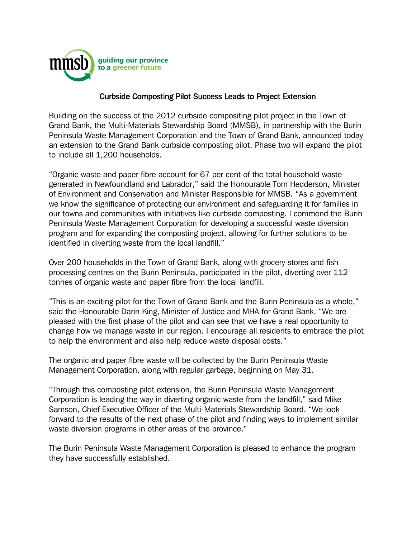

## Curbside Composting Pilot Success Leads to Project Extension

Building on the success of the 2012 curbside compositing pilot project in the Town of Grand Bank, the Multi-Materials Stewardship Board (MMSB), in partnership with the Burin Peninsula Waste Management Corporation and the Town of Grand Bank, announced today an extension to the Grand Bank curbside composting pilot. Phase two will expand the pilot to include all 1,200 households.

"Organic waste and paper fibre account for 67 per cent of the total household waste generated in Newfoundland and Labrador," said the Honourable Tom Hedderson, Minister of Environment and Conservation and Minister Responsible for MMSB. "As a government we know the significance of protecting our environment and safeguarding it for families in our towns and communities with initiatives like curbside composting. I commend the Burin Peninsula Waste Management Corporation for developing a successful waste diversion program and for expanding the composting project, allowing for further solutions to be identified in diverting waste from the local landfill."

Over 200 households in the Town of Grand Bank, along with grocery stores and fish processing centres on the Burin Peninsula, participated in the pilot, diverting over 112 tonnes of organic waste and paper fibre from the local landfill.

"This is an exciting pilot for the Town of Grand Bank and the Burin Peninsula as a whole," said the Honourable Darin King, Minister of Justice and MHA for Grand Bank. "We are pleased with the first phase of the pilot and can see that we have a real opportunity to change how we manage waste in our region. I encourage all residents to embrace the pilot to help the environment and also help reduce waste disposal costs."

The organic and paper fibre waste will be collected by the Burin Peninsula Waste Management Corporation, along with regular garbage, beginning on May 31.

"Through this composting pilot extension, the Burin Peninsula Waste Management Corporation is leading the way in diverting organic waste from the landfill," said Mike Samson, Chief Executive Officer of the Multi-Materials Stewardship Board. "We look forward to the results of the next phase of the pilot and finding ways to implement similar waste diversion programs in other areas of the province."

The Burin Peninsula Waste Management Corporation is pleased to enhance the program they have successfully established.